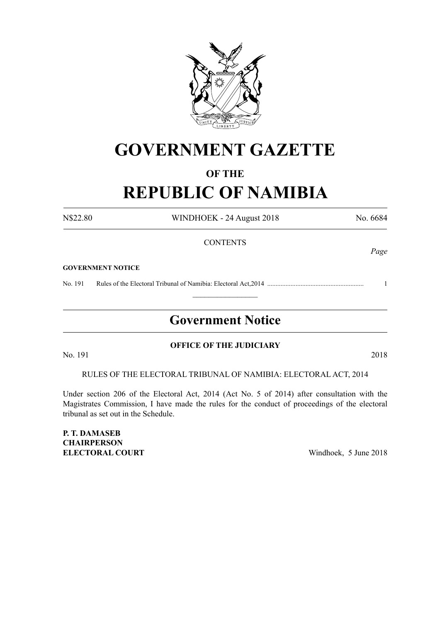

## **GOVERNMENT GAZETTE**

### **OF THE**

# **REPUBLIC OF NAMIBIA**

N\$22.80 WINDHOEK - 24 August 2018 No. 6684

*Page*

### **CONTENTS**

**GOVERNMENT NOTICE**

No. 191 Rules of the Electoral Tribunal of Namibia: Electoral Act,2014 .......................................................... 1

## **Government Notice**

 $\frac{1}{2}$ 

No. 191 2018

### **OFFICE OF THE JUDICIARY**

RULES OF THE ELECTORAL TRIBUNAL OF NAMIBIA: ELECTORAL ACT, 2014

Under section 206 of the Electoral Act, 2014 (Act No. 5 of 2014) after consultation with the Magistrates Commission, I have made the rules for the conduct of proceedings of the electoral tribunal as set out in the Schedule.

**P. T. DAMASEB CHAIRPERSON ELECTORAL COURT** Windhoek, 5 June 2018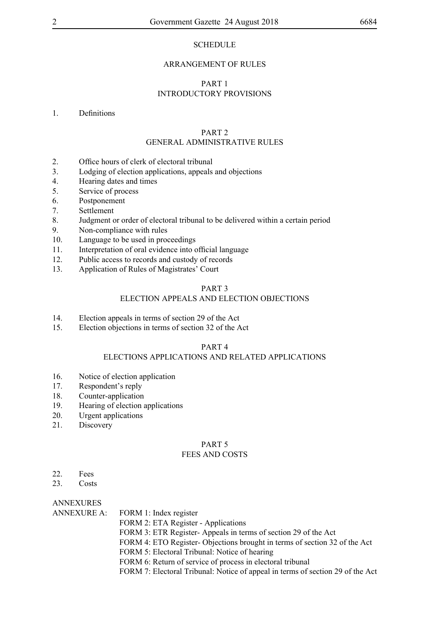### **SCHEDULE**

#### ARRANGEMENT OF RULES

### PART 1 INTRODUCTORY PROVISIONS

#### 1. Definitions

### PART 2

### GENERAL ADMINISTRATIVE RULES

- 2. Office hours of clerk of electoral tribunal
- 3. Lodging of election applications, appeals and objections
- 4. Hearing dates and times
- 5. Service of process
- 6. Postponement
- 7. Settlement
- 8. Judgment or order of electoral tribunal to be delivered within a certain period
- 9. Non-compliance with rules
- 10. Language to be used in proceedings
- 11. Interpretation of oral evidence into official language
- 12. Public access to records and custody of records
- 13. Application of Rules of Magistrates' Court

### PART 3

### ELECTION APPEALS AND ELECTION OBJECTIONS

- 14. Election appeals in terms of section 29 of the Act<br>15. Election objections in terms of section 32 of the A
- Election objections in terms of section 32 of the Act

#### PART 4

### ELECTIONS APPLICATIONS AND RELATED APPLICATIONS

- 16. Notice of election application
- 17. Respondent's reply
- 18. Counter-application
- 19. Hearing of election applications
- 20. Urgent applications
- 21. Discovery

#### PART 5 FEES AND COSTS

- 22. Fees
- 23. Costs

ANNEXURES

| ANNEXURE A: FORM 1: Index register                                             |
|--------------------------------------------------------------------------------|
| FORM 2: ETA Register - Applications                                            |
| FORM 3: ETR Register-Appeals in terms of section 29 of the Act                 |
| FORM 4: ETO Register-Objections brought in terms of section 32 of the Act      |
| FORM 5: Electoral Tribunal: Notice of hearing                                  |
| FORM 6: Return of service of process in electoral tribunal                     |
| FORM 7: Electoral Tribunal: Notice of appeal in terms of section 29 of the Act |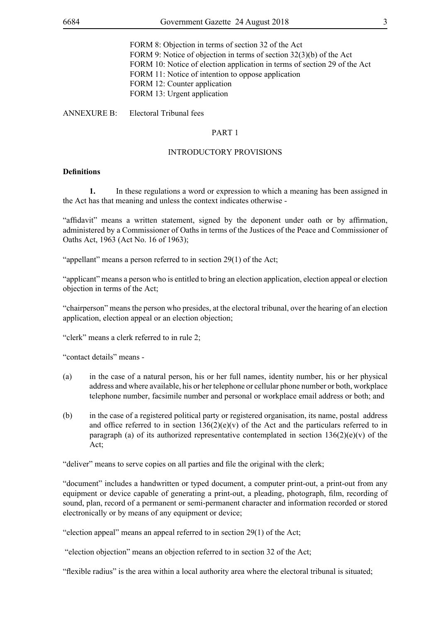FORM 8: Objection in terms of section 32 of the Act FORM 9: Notice of objection in terms of section 32(3)(b) of the Act FORM 10: Notice of election application in terms of section 29 of the Act FORM 11: Notice of intention to oppose application FORM 12: Counter application FORM 13: Urgent application

ANNEXURE B: Electoral Tribunal fees

#### PART 1

#### INTRODUCTORY PROVISIONS

#### **Definitions**

**1.** In these regulations a word or expression to which a meaning has been assigned in the Act has that meaning and unless the context indicates otherwise -

"affidavit" means a written statement, signed by the deponent under oath or by affirmation, administered by a Commissioner of Oaths in terms of the Justices of the Peace and Commissioner of Oaths Act, 1963 (Act No. 16 of 1963);

"appellant" means a person referred to in section 29(1) of the Act;

"applicant" means a person who is entitled to bring an election application, election appeal or election objection in terms of the Act;

"chairperson" means the person who presides, at the electoral tribunal, over the hearing of an election application, election appeal or an election objection;

"clerk" means a clerk referred to in rule 2;

"contact details" means -

- (a) in the case of a natural person, his or her full names, identity number, his or her physical address and where available, his or her telephone or cellular phone number or both, workplace telephone number, facsimile number and personal or workplace email address or both; and
- (b) in the case of a registered political party or registered organisation, its name, postal address and office referred to in section  $136(2)(e)(y)$  of the Act and the particulars referred to in paragraph (a) of its authorized representative contemplated in section  $136(2)(e)(v)$  of the Act;

"deliver" means to serve copies on all parties and file the original with the clerk;

"document" includes a handwritten or typed document, a computer print-out, a print-out from any equipment or device capable of generating a print-out, a pleading, photograph, film, recording of sound, plan, record of a permanent or semi-permanent character and information recorded or stored electronically or by means of any equipment or device;

"election appeal" means an appeal referred to in section 29(1) of the Act;

"election objection" means an objection referred to in section 32 of the Act;

"flexible radius" is the area within a local authority area where the electoral tribunal is situated;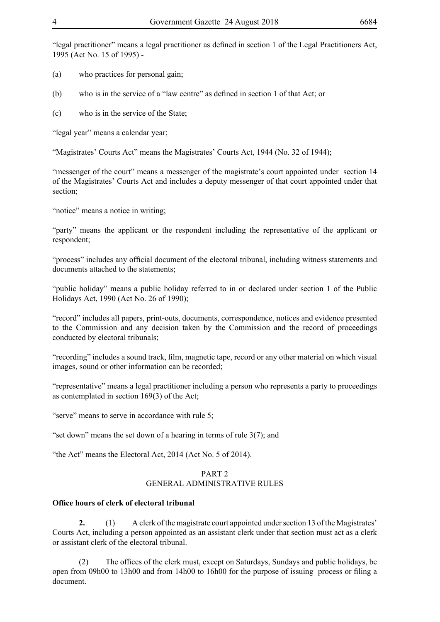"legal practitioner" means a legal practitioner as defined in section 1 of the Legal Practitioners Act, 1995 (Act No. 15 of 1995) -

- (a) who practices for personal gain;
- (b) who is in the service of a "law centre" as defined in section 1 of that Act; or
- (c) who is in the service of the State;

"legal year" means a calendar year;

"Magistrates' Courts Act" means the Magistrates' Courts Act, 1944 (No. 32 of 1944);

"messenger of the court" means a messenger of the magistrate's court appointed under section 14 of the Magistrates' Courts Act and includes a deputy messenger of that court appointed under that section;

"notice" means a notice in writing;

"party" means the applicant or the respondent including the representative of the applicant or respondent;

"process" includes any official document of the electoral tribunal, including witness statements and documents attached to the statements;

"public holiday" means a public holiday referred to in or declared under section 1 of the Public Holidays Act, 1990 (Act No. 26 of 1990);

"record" includes all papers, print-outs, documents, correspondence, notices and evidence presented to the Commission and any decision taken by the Commission and the record of proceedings conducted by electoral tribunals;

"recording" includes a sound track, film, magnetic tape, record or any other material on which visual images, sound or other information can be recorded;

"representative" means a legal practitioner including a person who represents a party to proceedings as contemplated in section 169(3) of the Act;

"serve" means to serve in accordance with rule 5;

"set down" means the set down of a hearing in terms of rule  $3(7)$ ; and

"the Act" means the Electoral Act, 2014 (Act No. 5 of 2014).

### PART 2 GENERAL ADMINISTRATIVE RULES

#### **Office hours of clerk of electoral tribunal**

**2.** (1) A clerk of the magistrate court appointed under section 13 of the Magistrates' Courts Act, including a person appointed as an assistant clerk under that section must act as a clerk or assistant clerk of the electoral tribunal.

The offices of the clerk must, except on Saturdays, Sundays and public holidays, be open from 09h00 to 13h00 and from 14h00 to 16h00 for the purpose of issuing process or filing a document.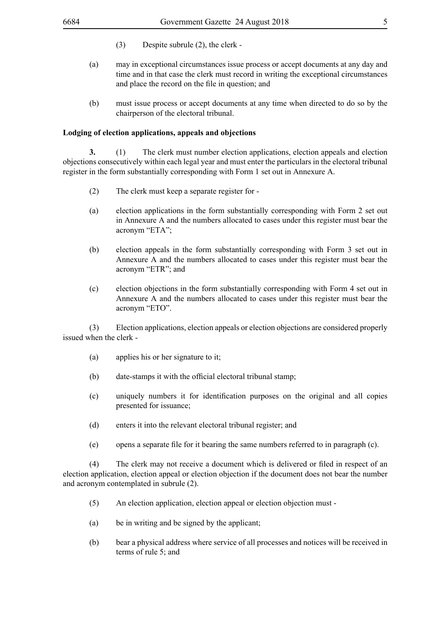- (3) Despite subrule (2), the clerk -
- (a) may in exceptional circumstances issue process or accept documents at any day and time and in that case the clerk must record in writing the exceptional circumstances and place the record on the file in question; and
- (b) must issue process or accept documents at any time when directed to do so by the chairperson of the electoral tribunal.

#### **Lodging of election applications, appeals and objections**

**3.** (1) The clerk must number election applications, election appeals and election objections consecutively within each legal year and must enter the particulars in the electoral tribunal register in the form substantially corresponding with Form 1 set out in Annexure A.

- (2) The clerk must keep a separate register for -
- (a) election applications in the form substantially corresponding with Form 2 set out in Annexure A and the numbers allocated to cases under this register must bear the acronym "ETA";
- (b) election appeals in the form substantially corresponding with Form 3 set out in Annexure A and the numbers allocated to cases under this register must bear the acronym "ETR"; and
- (c) election objections in the form substantially corresponding with Form 4 set out in Annexure A and the numbers allocated to cases under this register must bear the acronym "ETO".

(3) Election applications, election appeals or election objections are considered properly issued when the clerk -

- (a) applies his or her signature to it;
- (b) date-stamps it with the official electoral tribunal stamp;
- (c) uniquely numbers it for identification purposes on the original and all copies presented for issuance;
- (d) enters it into the relevant electoral tribunal register; and
- (e) opens a separate file for it bearing the same numbers referred to in paragraph (c).

(4) The clerk may not receive a document which is delivered or filed in respect of an election application, election appeal or election objection if the document does not bear the number and acronym contemplated in subrule (2).

- (5) An election application, election appeal or election objection must -
- (a) be in writing and be signed by the applicant;
- (b) bear a physical address where service of all processes and notices will be received in terms of rule 5; and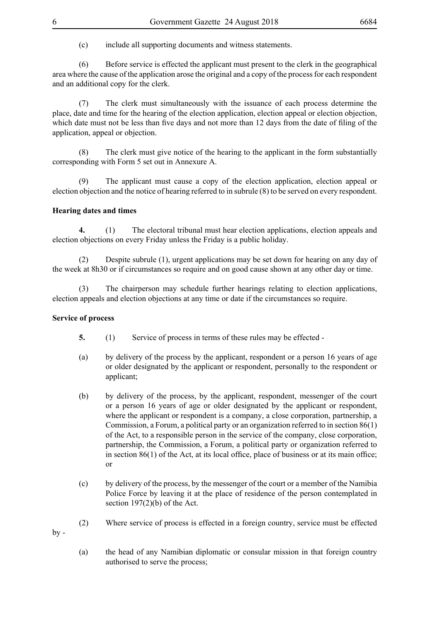(c) include all supporting documents and witness statements.

(6) Before service is effected the applicant must present to the clerk in the geographical area where the cause of the application arose the original and a copy of the process for each respondent and an additional copy for the clerk.

(7) The clerk must simultaneously with the issuance of each process determine the place, date and time for the hearing of the election application, election appeal or election objection, which date must not be less than five days and not more than 12 days from the date of filing of the application, appeal or objection.

(8) The clerk must give notice of the hearing to the applicant in the form substantially corresponding with Form 5 set out in Annexure A.

(9) The applicant must cause a copy of the election application, election appeal or election objection and the notice of hearing referred to in subrule (8) to be served on every respondent.

### **Hearing dates and times**

**4.** (1) The electoral tribunal must hear election applications, election appeals and election objections on every Friday unless the Friday is a public holiday.

(2) Despite subrule (1), urgent applications may be set down for hearing on any day of the week at 8h30 or if circumstances so require and on good cause shown at any other day or time.

(3) The chairperson may schedule further hearings relating to election applications, election appeals and election objections at any time or date if the circumstances so require.

### **Service of process**

- **5.** (1) Service of process in terms of these rules may be effected -
- (a) by delivery of the process by the applicant, respondent or a person 16 years of age or older designated by the applicant or respondent, personally to the respondent or applicant;
- (b) by delivery of the process, by the applicant, respondent, messenger of the court or a person 16 years of age or older designated by the applicant or respondent, where the applicant or respondent is a company, a close corporation, partnership, a Commission, a Forum, a political party or an organization referred to in section 86(1) of the Act, to a responsible person in the service of the company, close corporation, partnership, the Commission, a Forum, a political party or organization referred to in section 86(1) of the Act, at its local office, place of business or at its main office; or
- (c) by delivery of the process, by the messenger of the court or a member of the Namibia Police Force by leaving it at the place of residence of the person contemplated in section 197(2)(b) of the Act.
- (2) Where service of process is effected in a foreign country, service must be effected

 $bv -$ 

(a) the head of any Namibian diplomatic or consular mission in that foreign country authorised to serve the process;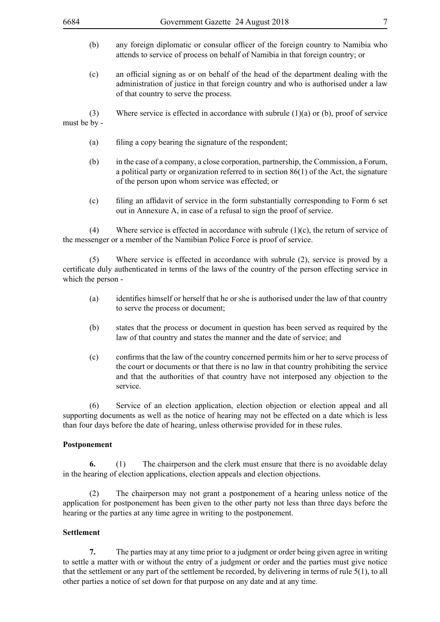- (b) any foreign diplomatic or consular officer of the foreign country to Namibia who attends to service of process on behalf of Namibia in that foreign country; or
- (c) an official signing as or on behalf of the head of the department dealing with the administration of justice in that foreign country and who is authorised under a law of that country to serve the process.

(3) Where service is effected in accordance with subrule (1)(a) or (b), proof of service must be by -

- (a) filing a copy bearing the signature of the respondent;
- (b) in the case of a company, a close corporation, partnership, the Commission, a Forum, a political party or organization referred to in section 86(1) of the Act, the signature of the person upon whom service was effected; or
- (c) filing an affidavit of service in the form substantially corresponding to Form 6 set out in Annexure A, in case of a refusal to sign the proof of service.

(4) Where service is effected in accordance with subrule (1)(c), the return of service of the messenger or a member of the Namibian Police Force is proof of service.

(5) Where service is effected in accordance with subrule (2), service is proved by a certificate duly authenticated in terms of the laws of the country of the person effecting service in which the person -

- (a) identifies himself or herself that he or she is authorised under the law of that country to serve the process or document;
- (b) states that the process or document in question has been served as required by the law of that country and states the manner and the date of service; and
- (c) confirms that the law of the country concerned permits him or her to serve process of the court or documents or that there is no law in that country prohibiting the service and that the authorities of that country have not interposed any objection to the service.

(6) Service of an election application, election objection or election appeal and all supporting documents as well as the notice of hearing may not be effected on a date which is less than four days before the date of hearing, unless otherwise provided for in these rules.

#### **Postponement**

**6.** (1) The chairperson and the clerk must ensure that there is no avoidable delay in the hearing of election applications, election appeals and election objections.

(2) The chairperson may not grant a postponement of a hearing unless notice of the application for postponement has been given to the other party not less than three days before the hearing or the parties at any time agree in writing to the postponement.

### **Settlement**

**7.** The parties may at any time prior to a judgment or order being given agree in writing to settle a matter with or without the entry of a judgment or order and the parties must give notice that the settlement or any part of the settlement be recorded, by delivering in terms of rule 5(1), to all other parties a notice of set down for that purpose on any date and at any time.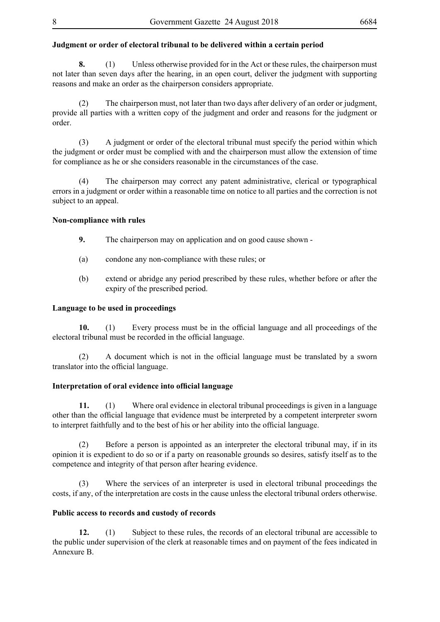### **Judgment or order of electoral tribunal to be delivered within a certain period**

**8.** (1) Unless otherwise provided for in the Act or these rules, the chairperson must not later than seven days after the hearing, in an open court, deliver the judgment with supporting reasons and make an order as the chairperson considers appropriate.

(2) The chairperson must, not later than two days after delivery of an order or judgment, provide all parties with a written copy of the judgment and order and reasons for the judgment or order.

(3) A judgment or order of the electoral tribunal must specify the period within which the judgment or order must be complied with and the chairperson must allow the extension of time for compliance as he or she considers reasonable in the circumstances of the case.

(4) The chairperson may correct any patent administrative, clerical or typographical errors in a judgment or order within a reasonable time on notice to all parties and the correction is not subject to an appeal.

### **Non-compliance with rules**

- **9.** The chairperson may on application and on good cause shown -
- (a) condone any non-compliance with these rules; or
- (b) extend or abridge any period prescribed by these rules, whether before or after the expiry of the prescribed period.

### **Language to be used in proceedings**

**10.** (1) Every process must be in the official language and all proceedings of the electoral tribunal must be recorded in the official language.

 (2) A document which is not in the official language must be translated by a sworn translator into the official language.

### **Interpretation of oral evidence into official language**

**11.** (1) Where oral evidence in electoral tribunal proceedings is given in a language other than the official language that evidence must be interpreted by a competent interpreter sworn to interpret faithfully and to the best of his or her ability into the official language.

(2) Before a person is appointed as an interpreter the electoral tribunal may, if in its opinion it is expedient to do so or if a party on reasonable grounds so desires, satisfy itself as to the competence and integrity of that person after hearing evidence.

(3) Where the services of an interpreter is used in electoral tribunal proceedings the costs, if any, of the interpretation are costs in the cause unless the electoral tribunal orders otherwise.

### **Public access to records and custody of records**

**12.** (1) Subject to these rules, the records of an electoral tribunal are accessible to the public under supervision of the clerk at reasonable times and on payment of the fees indicated in Annexure B.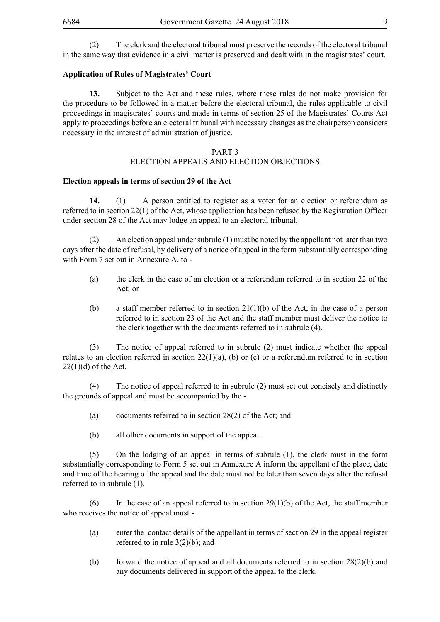(2) The clerk and the electoral tribunal must preserve the records of the electoral tribunal in the same way that evidence in a civil matter is preserved and dealt with in the magistrates' court.

### **Application of Rules of Magistrates' Court**

**13.** Subject to the Act and these rules, where these rules do not make provision for the procedure to be followed in a matter before the electoral tribunal, the rules applicable to civil proceedings in magistrates' courts and made in terms of section 25 of the Magistrates' Courts Act apply to proceedings before an electoral tribunal with necessary changes as the chairperson considers necessary in the interest of administration of justice.

#### PART 3

### ELECTION APPEALS AND ELECTION OBJECTIONS

### **Election appeals in terms of section 29 of the Act**

**14.** (1) A person entitled to register as a voter for an election or referendum as referred to in section 22(1) of the Act, whose application has been refused by the Registration Officer under section 28 of the Act may lodge an appeal to an electoral tribunal.

(2) An election appeal under subrule (1) must be noted by the appellant not later than two days after the date of refusal, by delivery of a notice of appeal in the form substantially corresponding with Form 7 set out in Annexure A, to -

- (a) the clerk in the case of an election or a referendum referred to in section 22 of the Act; or
- (b) a staff member referred to in section  $21(1)(b)$  of the Act, in the case of a person referred to in section 23 of the Act and the staff member must deliver the notice to the clerk together with the documents referred to in subrule (4).

(3) The notice of appeal referred to in subrule (2) must indicate whether the appeal relates to an election referred in section  $22(1)(a)$ , (b) or (c) or a referendum referred to in section  $22(1)(d)$  of the Act.

(4) The notice of appeal referred to in subrule (2) must set out concisely and distinctly the grounds of appeal and must be accompanied by the -

- (a) documents referred to in section 28(2) of the Act; and
- (b) all other documents in support of the appeal.

(5) On the lodging of an appeal in terms of subrule (1), the clerk must in the form substantially corresponding to Form 5 set out in Annexure A inform the appellant of the place, date and time of the hearing of the appeal and the date must not be later than seven days after the refusal referred to in subrule (1).

(6) In the case of an appeal referred to in section  $29(1)(b)$  of the Act, the staff member who receives the notice of appeal must -

- (a) enter the contact details of the appellant in terms of section 29 in the appeal register referred to in rule 3(2)(b); and
- (b) forward the notice of appeal and all documents referred to in section  $28(2)(b)$  and any documents delivered in support of the appeal to the clerk.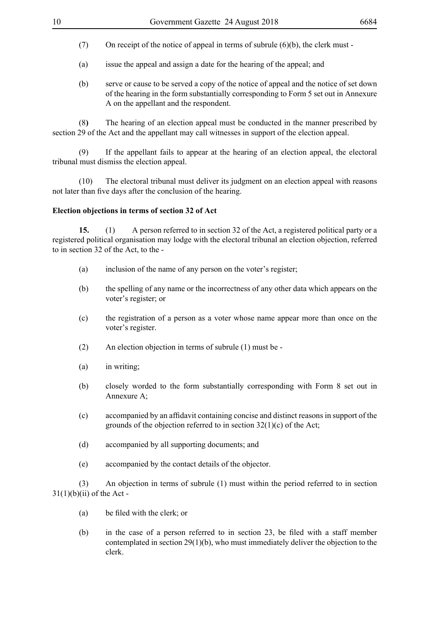- (7) On receipt of the notice of appeal in terms of subrule  $(6)(b)$ , the clerk must -
- (a) issue the appeal and assign a date for the hearing of the appeal; and
- (b) serve or cause to be served a copy of the notice of appeal and the notice of set down of the hearing in the form substantially corresponding to Form 5 set out in Annexure A on the appellant and the respondent.

(8**)** The hearing of an election appeal must be conducted in the manner prescribed by section 29 of the Act and the appellant may call witnesses in support of the election appeal.

(9) If the appellant fails to appear at the hearing of an election appeal, the electoral tribunal must dismiss the election appeal.

(10) The electoral tribunal must deliver its judgment on an election appeal with reasons not later than five days after the conclusion of the hearing.

### **Election objections in terms of section 32 of Act**

**15.** (1) A person referred to in section 32 of the Act, a registered political party or a registered political organisation may lodge with the electoral tribunal an election objection, referred to in section 32 of the Act, to the -

- (a) inclusion of the name of any person on the voter's register;
- (b) the spelling of any name or the incorrectness of any other data which appears on the voter's register; or
- (c) the registration of a person as a voter whose name appear more than once on the voter's register.
- (2) An election objection in terms of subrule (1) must be -
- (a) in writing;
- (b) closely worded to the form substantially corresponding with Form 8 set out in Annexure A;
- (c) accompanied by an affidavit containing concise and distinct reasons in support of the grounds of the objection referred to in section  $32(1)(c)$  of the Act;
- (d) accompanied by all supporting documents; and
- (e) accompanied by the contact details of the objector.

(3) An objection in terms of subrule (1) must within the period referred to in section  $31(1)(b)(ii)$  of the Act -

- (a) be filed with the clerk; or
- (b) in the case of a person referred to in section 23, be filed with a staff member contemplated in section 29(1)(b), who must immediately deliver the objection to the clerk.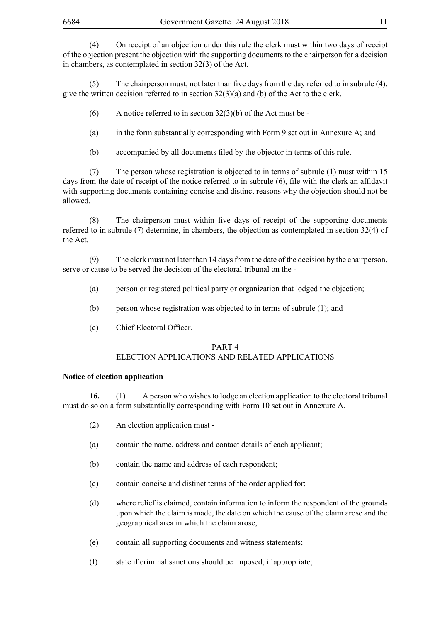(4) On receipt of an objection under this rule the clerk must within two days of receipt of the objection present the objection with the supporting documents to the chairperson for a decision in chambers, as contemplated in section 32(3) of the Act.

(5) The chairperson must, not later than five days from the day referred to in subrule (4), give the written decision referred to in section 32(3)(a) and (b) of the Act to the clerk.

- $(6)$  A notice referred to in section 32(3)(b) of the Act must be -
- (a) in the form substantially corresponding with Form 9 set out in Annexure A; and
- (b) accompanied by all documents filed by the objector in terms of this rule.

(7) The person whose registration is objected to in terms of subrule (1) must within 15 days from the date of receipt of the notice referred to in subrule (6), file with the clerk an affidavit with supporting documents containing concise and distinct reasons why the objection should not be allowed.

 (8) The chairperson must within five days of receipt of the supporting documents referred to in subrule (7) determine, in chambers, the objection as contemplated in section 32(4) of the Act.

(9) The clerk must not later than 14 days from the date of the decision by the chairperson, serve or cause to be served the decision of the electoral tribunal on the -

- (a) person or registered political party or organization that lodged the objection;
- (b) person whose registration was objected to in terms of subrule (1); and
- (c) Chief Electoral Officer.

### PART 4 ELECTION APPLICATIONS AND RELATED APPLICATIONS

#### **Notice of election application**

**16.** (1) A person who wishes to lodge an election application to the electoral tribunal must do so on a form substantially corresponding with Form 10 set out in Annexure A.

- (2) An election application must -
- (a) contain the name, address and contact details of each applicant;
- (b) contain the name and address of each respondent;
- (c) contain concise and distinct terms of the order applied for;
- (d) where relief is claimed, contain information to inform the respondent of the grounds upon which the claim is made, the date on which the cause of the claim arose and the geographical area in which the claim arose;
- (e) contain all supporting documents and witness statements;
- (f) state if criminal sanctions should be imposed, if appropriate;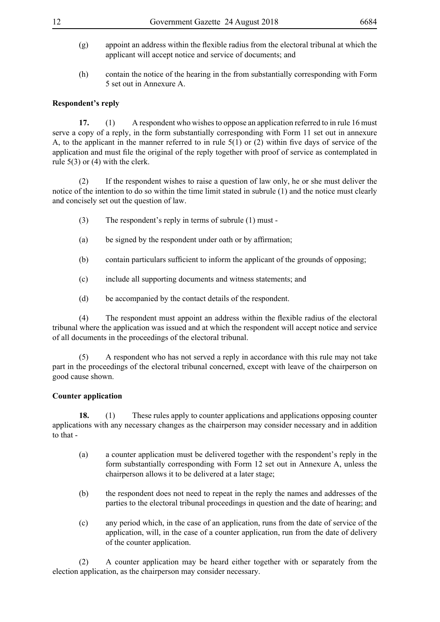- (g) appoint an address within the flexible radius from the electoral tribunal at which the applicant will accept notice and service of documents; and
- (h) contain the notice of the hearing in the from substantially corresponding with Form 5 set out in Annexure A.

### **Respondent's reply**

**17.** (1) A respondent who wishes to oppose an application referred to in rule 16 must serve a copy of a reply, in the form substantially corresponding with Form 11 set out in annexure A, to the applicant in the manner referred to in rule  $5(1)$  or (2) within five days of service of the application and must file the original of the reply together with proof of service as contemplated in rule 5(3) or (4) with the clerk.

(2) If the respondent wishes to raise a question of law only, he or she must deliver the notice of the intention to do so within the time limit stated in subrule (1) and the notice must clearly and concisely set out the question of law.

- (3) The respondent's reply in terms of subrule (1) must -
- (a) be signed by the respondent under oath or by affirmation;
- (b) contain particulars sufficient to inform the applicant of the grounds of opposing;
- (c) include all supporting documents and witness statements; and
- (d) be accompanied by the contact details of the respondent.

 (4) The respondent must appoint an address within the flexible radius of the electoral tribunal where the application was issued and at which the respondent will accept notice and service of all documents in the proceedings of the electoral tribunal.

(5) A respondent who has not served a reply in accordance with this rule may not take part in the proceedings of the electoral tribunal concerned, except with leave of the chairperson on good cause shown.

### **Counter application**

**18.** (1) These rules apply to counter applications and applications opposing counter applications with any necessary changes as the chairperson may consider necessary and in addition to that -

- (a) a counter application must be delivered together with the respondent's reply in the form substantially corresponding with Form 12 set out in Annexure A, unless the chairperson allows it to be delivered at a later stage;
- (b) the respondent does not need to repeat in the reply the names and addresses of the parties to the electoral tribunal proceedings in question and the date of hearing; and
- (c) any period which, in the case of an application, runs from the date of service of the application, will, in the case of a counter application, run from the date of delivery of the counter application.

(2) A counter application may be heard either together with or separately from the election application, as the chairperson may consider necessary.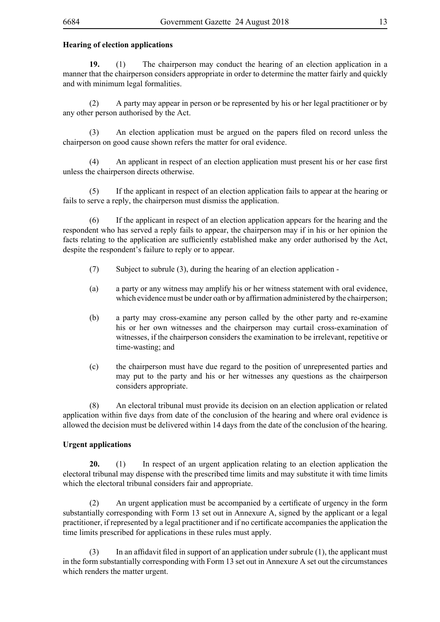### **Hearing of election applications**

**19.** (1) The chairperson may conduct the hearing of an election application in a manner that the chairperson considers appropriate in order to determine the matter fairly and quickly and with minimum legal formalities.

(2) A party may appear in person or be represented by his or her legal practitioner or by any other person authorised by the Act.

 (3) An election application must be argued on the papers filed on record unless the chairperson on good cause shown refers the matter for oral evidence.

 (4) An applicant in respect of an election application must present his or her case first unless the chairperson directs otherwise.

(5) If the applicant in respect of an election application fails to appear at the hearing or fails to serve a reply, the chairperson must dismiss the application.

(6) If the applicant in respect of an election application appears for the hearing and the respondent who has served a reply fails to appear, the chairperson may if in his or her opinion the facts relating to the application are sufficiently established make any order authorised by the Act, despite the respondent's failure to reply or to appear.

- (7) Subject to subrule (3), during the hearing of an election application -
- (a) a party or any witness may amplify his or her witness statement with oral evidence, which evidence must be under oath or by affirmation administered by the chairperson;
- (b) a party may cross-examine any person called by the other party and re-examine his or her own witnesses and the chairperson may curtail cross-examination of witnesses, if the chairperson considers the examination to be irrelevant, repetitive or time-wasting; and
- (c) the chairperson must have due regard to the position of unrepresented parties and may put to the party and his or her witnesses any questions as the chairperson considers appropriate.

(8) An electoral tribunal must provide its decision on an election application or related application within five days from date of the conclusion of the hearing and where oral evidence is allowed the decision must be delivered within 14 days from the date of the conclusion of the hearing.

### **Urgent applications**

**20.** (1) In respect of an urgent application relating to an election application the electoral tribunal may dispense with the prescribed time limits and may substitute it with time limits which the electoral tribunal considers fair and appropriate.

 (2) An urgent application must be accompanied by a certificate of urgency in the form substantially corresponding with Form 13 set out in Annexure A, signed by the applicant or a legal practitioner, if represented by a legal practitioner and if no certificate accompanies the application the time limits prescribed for applications in these rules must apply.

 $(3)$  In an affidavit filed in support of an application under subrule  $(1)$ , the applicant must in the form substantially corresponding with Form 13 set out in Annexure A set out the circumstances which renders the matter urgent.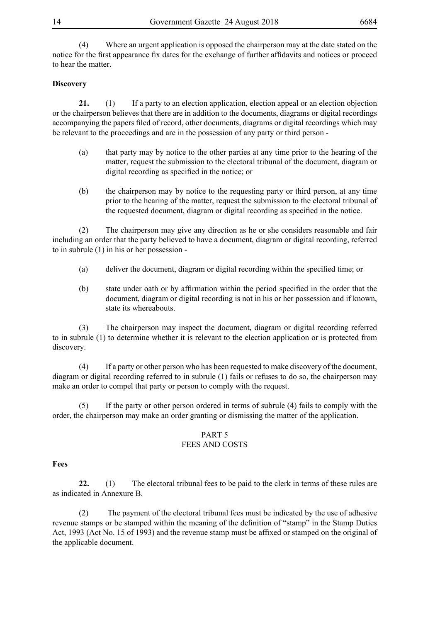(4) Where an urgent application is opposed the chairperson may at the date stated on the notice for the first appearance fix dates for the exchange of further affidavits and notices or proceed to hear the matter.

### **Discovery**

21. (1) If a party to an election application, election appeal or an election objection or the chairperson believes that there are in addition to the documents, diagrams or digital recordings accompanying the papers filed of record, other documents, diagrams or digital recordings which may be relevant to the proceedings and are in the possession of any party or third person -

- (a) that party may by notice to the other parties at any time prior to the hearing of the matter, request the submission to the electoral tribunal of the document, diagram or digital recording as specified in the notice; or
- (b) the chairperson may by notice to the requesting party or third person, at any time prior to the hearing of the matter, request the submission to the electoral tribunal of the requested document, diagram or digital recording as specified in the notice.

(2) The chairperson may give any direction as he or she considers reasonable and fair including an order that the party believed to have a document, diagram or digital recording, referred to in subrule (1) in his or her possession -

- (a) deliver the document, diagram or digital recording within the specified time; or
- (b) state under oath or by affirmation within the period specified in the order that the document, diagram or digital recording is not in his or her possession and if known, state its whereabouts.

(3) The chairperson may inspect the document, diagram or digital recording referred to in subrule (1) to determine whether it is relevant to the election application or is protected from discovery.

(4) If a party or other person who has been requested to make discovery of the document, diagram or digital recording referred to in subrule (1) fails or refuses to do so, the chairperson may make an order to compel that party or person to comply with the request.

(5) If the party or other person ordered in terms of subrule (4) fails to comply with the order, the chairperson may make an order granting or dismissing the matter of the application.

### PART 5

### FEES AND COSTS

### **Fees**

**22.** (1) The electoral tribunal fees to be paid to the clerk in terms of these rules are as indicated in Annexure B.

(2) The payment of the electoral tribunal fees must be indicated by the use of adhesive revenue stamps or be stamped within the meaning of the definition of "stamp" in the Stamp Duties Act, 1993 (Act No. 15 of 1993) and the revenue stamp must be affixed or stamped on the original of the applicable document.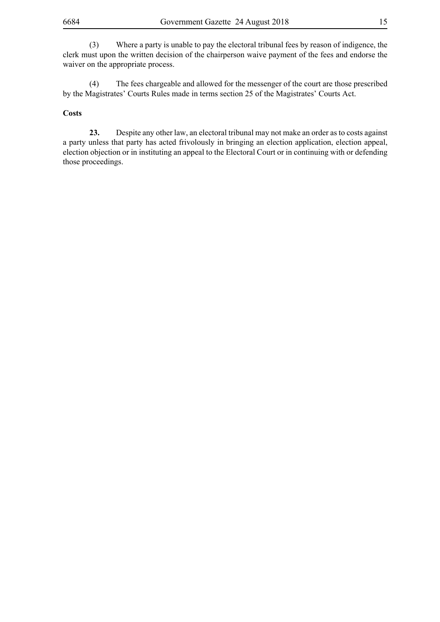(3) Where a party is unable to pay the electoral tribunal fees by reason of indigence, the clerk must upon the written decision of the chairperson waive payment of the fees and endorse the waiver on the appropriate process.

(4) The fees chargeable and allowed for the messenger of the court are those prescribed by the Magistrates' Courts Rules made in terms section 25 of the Magistrates' Courts Act.

#### **Costs**

**23.** Despite any other law, an electoral tribunal may not make an order as to costs against a party unless that party has acted frivolously in bringing an election application, election appeal, election objection or in instituting an appeal to the Electoral Court or in continuing with or defending those proceedings.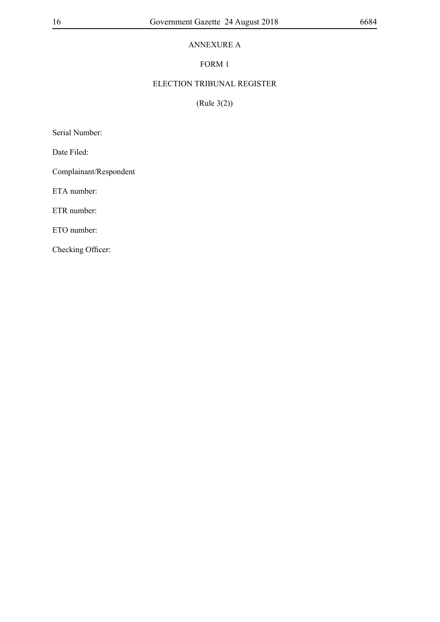### ANNEXURE A

### FORM 1

### ELECTION TRIBUNAL REGISTER

(Rule 3(2))

Serial Number:

Date Filed:

Complainant/Respondent

ETA number:

ETR number:

ETO number: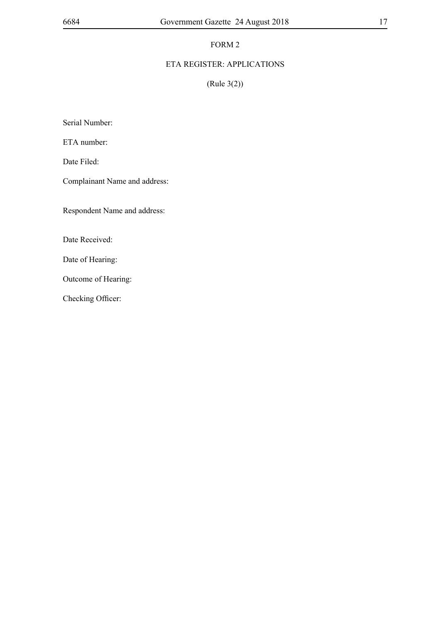### ETA REGISTER: APPLICATIONS

(Rule 3(2))

Serial Number:

ETA number:

Date Filed:

Complainant Name and address:

Respondent Name and address:

Date Received:

Date of Hearing:

Outcome of Hearing: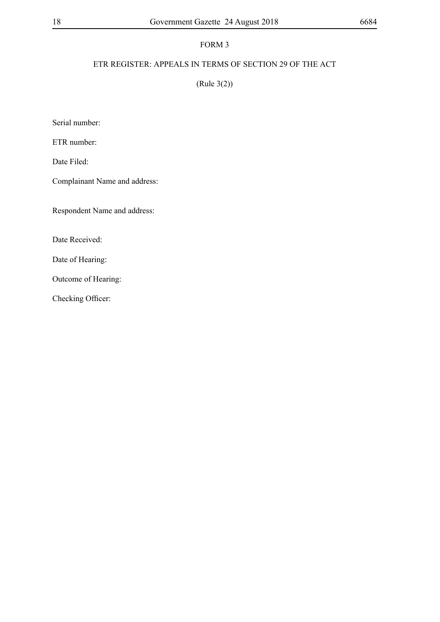### ETR REGISTER: APPEALS IN TERMS OF SECTION 29 OF THE ACT

(Rule 3(2))

Serial number:

ETR number:

Date Filed:

Complainant Name and address:

Respondent Name and address:

Date Received:

Date of Hearing:

Outcome of Hearing: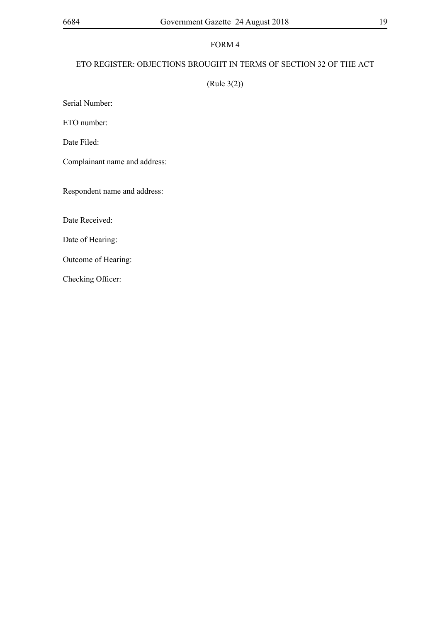### ETO REGISTER: OBJECTIONS BROUGHT IN TERMS OF SECTION 32 OF THE ACT

### (Rule 3(2))

Serial Number:

ETO number:

Date Filed:

Complainant name and address:

Respondent name and address:

Date Received:

Date of Hearing:

Outcome of Hearing: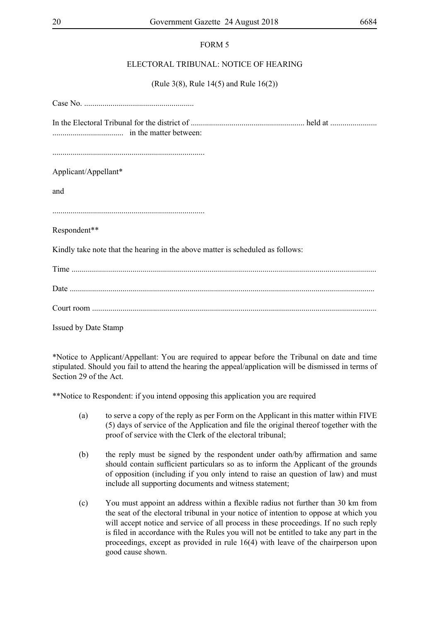### ELECTORAL TRIBUNAL: NOTICE OF HEARING

(Rule 3(8), Rule 14(5) and Rule 16(2))

Case No. ...................................................... In the Electoral Tribunal for the district of ........................................................ held at ....................... ................................... in the matter between: ........................................................................... Applicant/Appellant\* and ........................................................................... Respondent\*\* Kindly take note that the hearing in the above matter is scheduled as follows: Time ...................................................................................................................................................... Date ...................................................................................................................................................... Court room ............................................................................................................................................

Issued by Date Stamp

\*Notice to Applicant/Appellant: You are required to appear before the Tribunal on date and time stipulated. Should you fail to attend the hearing the appeal/application will be dismissed in terms of Section 29 of the Act.

\*\*Notice to Respondent: if you intend opposing this application you are required

- (a) to serve a copy of the reply as per Form on the Applicant in this matter within FIVE (5) days of service of the Application and file the original thereof together with the proof of service with the Clerk of the electoral tribunal;
- (b) the reply must be signed by the respondent under oath/by affirmation and same should contain sufficient particulars so as to inform the Applicant of the grounds of opposition (including if you only intend to raise an question of law) and must include all supporting documents and witness statement;
- (c) You must appoint an address within a flexible radius not further than 30 km from the seat of the electoral tribunal in your notice of intention to oppose at which you will accept notice and service of all process in these proceedings. If no such reply is filed in accordance with the Rules you will not be entitled to take any part in the proceedings, except as provided in rule 16(4) with leave of the chairperson upon good cause shown.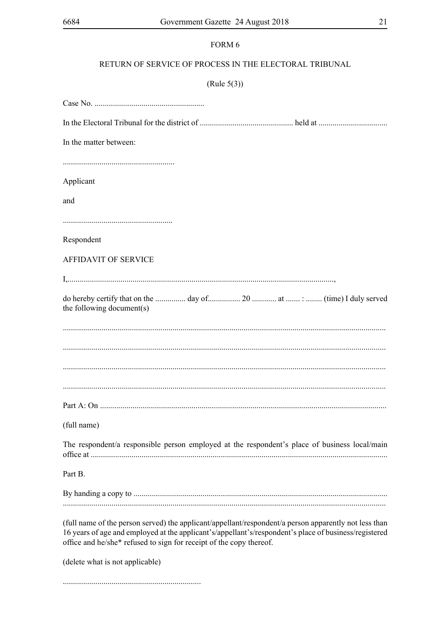### RETURN OF SERVICE OF PROCESS IN THE ELECTORAL TRIBUNAL

### $(Rule 5(3))$

| In the matter between:                                                                                                                                                                                                                                                                |  |
|---------------------------------------------------------------------------------------------------------------------------------------------------------------------------------------------------------------------------------------------------------------------------------------|--|
|                                                                                                                                                                                                                                                                                       |  |
| Applicant                                                                                                                                                                                                                                                                             |  |
| and                                                                                                                                                                                                                                                                                   |  |
|                                                                                                                                                                                                                                                                                       |  |
| Respondent                                                                                                                                                                                                                                                                            |  |
| <b>AFFIDAVIT OF SERVICE</b>                                                                                                                                                                                                                                                           |  |
|                                                                                                                                                                                                                                                                                       |  |
| the following document(s)                                                                                                                                                                                                                                                             |  |
|                                                                                                                                                                                                                                                                                       |  |
|                                                                                                                                                                                                                                                                                       |  |
|                                                                                                                                                                                                                                                                                       |  |
|                                                                                                                                                                                                                                                                                       |  |
|                                                                                                                                                                                                                                                                                       |  |
| (full name)                                                                                                                                                                                                                                                                           |  |
| The respondent/a responsible person employed at the respondent's place of business local/main                                                                                                                                                                                         |  |
| Part B.                                                                                                                                                                                                                                                                               |  |
|                                                                                                                                                                                                                                                                                       |  |
| (full name of the person served) the applicant/appellant/respondent/a person apparently not less than<br>16 years of age and employed at the applicant's/appellant's/respondent's place of business/registered<br>office and he/she* refused to sign for receipt of the copy thereof. |  |
| (delete what is not applicable)                                                                                                                                                                                                                                                       |  |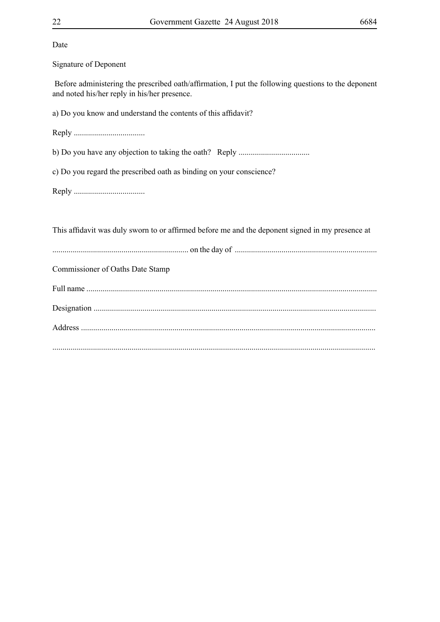| Date                                                                                                                                                |
|-----------------------------------------------------------------------------------------------------------------------------------------------------|
| Signature of Deponent                                                                                                                               |
| Before administering the prescribed oath/affirmation, I put the following questions to the deponent<br>and noted his/her reply in his/her presence. |
| a) Do you know and understand the contents of this affidavit?                                                                                       |
|                                                                                                                                                     |
|                                                                                                                                                     |
| c) Do you regard the prescribed oath as binding on your conscience?                                                                                 |
|                                                                                                                                                     |
|                                                                                                                                                     |
| This affidavit was duly sworn to or affirmed before me and the deponent signed in my presence at                                                    |
|                                                                                                                                                     |
| <b>Commissioner of Oaths Date Stamp</b>                                                                                                             |
|                                                                                                                                                     |
|                                                                                                                                                     |
|                                                                                                                                                     |
|                                                                                                                                                     |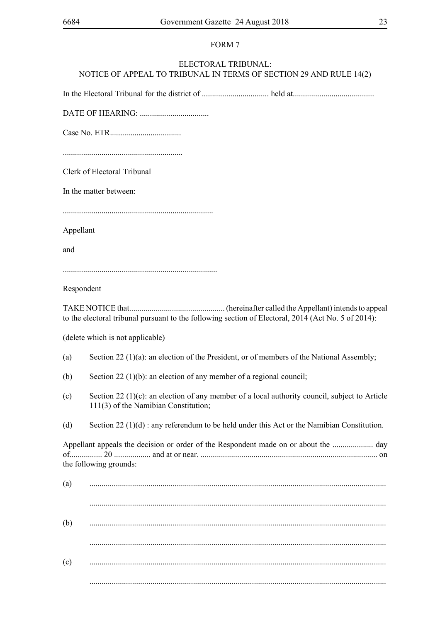### ELECTORAL TRIBUNAL: NOTICE OF APPEAL TO TRIBUNAL IN TERMS OF SECTION 29 AND RULE 14(2)

In the Electoral Tribunal for the district of ................................. held at........................................

DATE OF HEARING: ..................................

Case No. ETR...................................

...........................................................

Clerk of Electoral Tribunal

In the matter between:

..........................................................................

Appellant

and

............................................................................

Respondent

TAKE NOTICE that............................................... (hereinafter called the Appellant) intends to appeal to the electoral tribunal pursuant to the following section of Electoral, 2014 (Act No. 5 of 2014):

(delete which is not applicable)

- (a) Section 22 (1)(a): an election of the President, or of members of the National Assembly;
- (b) Section 22 (1)(b): an election of any member of a regional council;
- (c) Section 22 (1)(c): an election of any member of a local authority council, subject to Article 111(3) of the Namibian Constitution;
- (d) Section 22 (1)(d) : any referendum to be held under this Act or the Namibian Constitution.

Appellant appeals the decision or order of the Respondent made on or about the .................... day of................ 20 .................. and at or near. ....................................................................................... on the following grounds:

(a) .................................................................................................................................................. .................................................................................................................................................. (b) .................................................................................................................................................. .................................................................................................................................................. (c) .................................................................................................................................................. ..................................................................................................................................................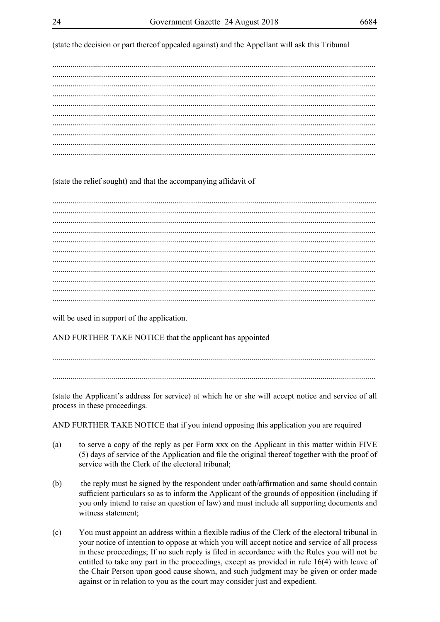(state the decision or part thereof appealed against) and the Appellant will ask this Tribunal

### (state the relief sought) and that the accompanying affidavit of

will be used in support of the application.

AND FURTHER TAKE NOTICE that the applicant has appointed

(state the Applicant's address for service) at which he or she will accept notice and service of all process in these proceedings.

AND FURTHER TAKE NOTICE that if you intend opposing this application you are required

- to serve a copy of the reply as per Form xxx on the Applicant in this matter within FIVE  $(a)$ (5) days of service of the Application and file the original thereof together with the proof of service with the Clerk of the electoral tribunal;
- the reply must be signed by the respondent under oath/affirmation and same should contain  $(b)$ sufficient particulars so as to inform the Applicant of the grounds of opposition (including if you only intend to raise an question of law) and must include all supporting documents and witness statement;
- $(c)$ You must appoint an address within a flexible radius of the Clerk of the electoral tribunal in your notice of intention to oppose at which you will accept notice and service of all process in these proceedings; If no such reply is filed in accordance with the Rules you will not be entitled to take any part in the proceedings, except as provided in rule  $16(4)$  with leave of the Chair Person upon good cause shown, and such judgment may be given or order made against or in relation to you as the court may consider just and expedient.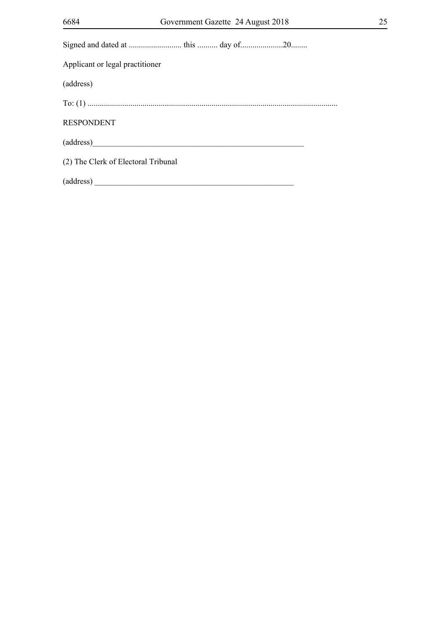| Applicant or legal practitioner     |
|-------------------------------------|
| (address)                           |
|                                     |
| <b>RESPONDENT</b>                   |
| (address)                           |
| (2) The Clerk of Electoral Tribunal |
|                                     |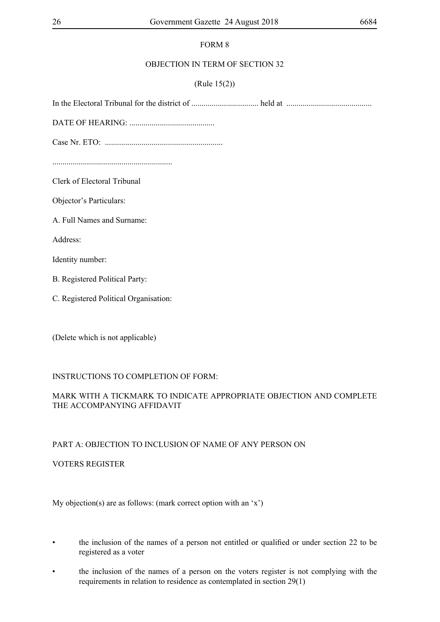### OBJECTION IN TERM OF SECTION 32

### (Rule 15(2))

In the Electoral Tribunal for the district of ................................. held at ..........................................

DATE OF HEARING: ..........................................

Case Nr. ETO: ..........................................................

Clerk of Electoral Tribunal

Objector's Particulars:

A. Full Names and Surname:

Address:

Identity number:

B. Registered Political Party:

C. Registered Political Organisation:

(Delete which is not applicable)

### INSTRUCTIONS TO COMPLETION OF FORM:

### MARK WITH A TICKMARK TO INDICATE APPROPRIATE OBJECTION AND COMPLETE THE ACCOMPANYING AFFIDAVIT

### PART A: OBJECTION TO INCLUSION OF NAME OF ANY PERSON ON

VOTERS REGISTER

My objection(s) are as follows: (mark correct option with an 'x')

- the inclusion of the names of a person not entitled or qualified or under section 22 to be registered as a voter
- the inclusion of the names of a person on the voters register is not complying with the requirements in relation to residence as contemplated in section 29(1)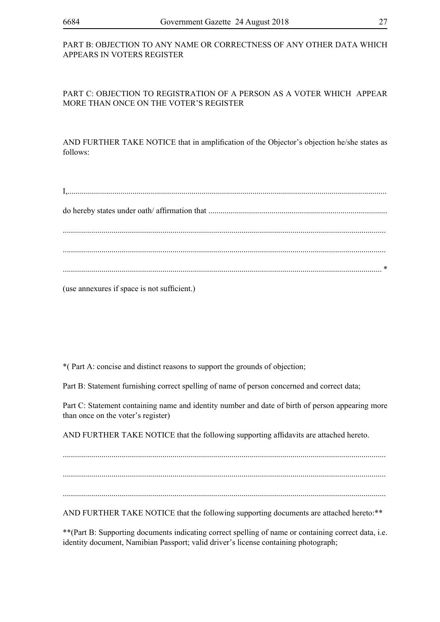### PART B: OBJECTION TO ANY NAME OR CORRECTNESS OF ANY OTHER DATA WHICH APPEARS IN VOTERS REGISTER

### PART C: OBJECTION TO REGISTRATION OF A PERSON AS A VOTER WHICH APPEAR MORE THAN ONCE ON THE VOTER'S REGISTER

AND FURTHER TAKE NOTICE that in amplification of the Objector's objection he/she states as follows:

(use annexures if space is not sufficient.)

\*( Part A: concise and distinct reasons to support the grounds of objection;

Part B: Statement furnishing correct spelling of name of person concerned and correct data;

Part C: Statement containing name and identity number and date of birth of person appearing more than once on the voter's register)

AND FURTHER TAKE NOTICE that the following supporting affidavits are attached hereto.

............................................................................................................................................................... ...............................................................................................................................................................

...............................................................................................................................................................

AND FURTHER TAKE NOTICE that the following supporting documents are attached hereto:\*\*

\*\*(Part B: Supporting documents indicating correct spelling of name or containing correct data, i.e. identity document, Namibian Passport; valid driver's license containing photograph;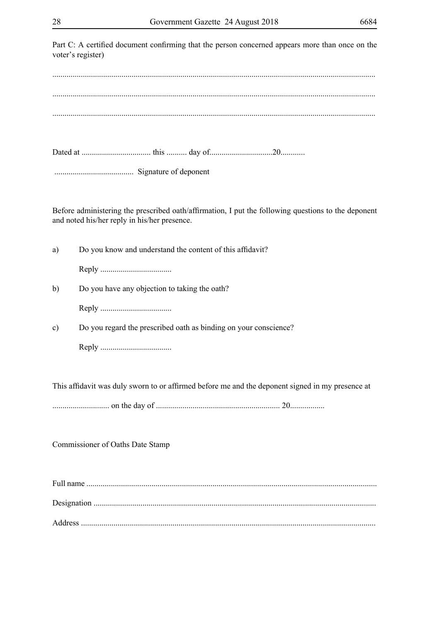28 Government Gazette 24 August 2018 6684 Part C: A certified document confirming that the person concerned appears more than once on the voter's register) ............................................................................................................................................................... ............................................................................................................................................................... ............................................................................................................................................................... Dated at .................................. this .......... day of...............................20............ ....................................... Signature of deponent Before administering the prescribed oath/affirmation, I put the following questions to the deponent and noted his/her reply in his/her presence. a) Do you know and understand the content of this affidavit?

Reply ...................................

b) Do you have any objection to taking the oath?

Reply ...................................

c) Do you regard the prescribed oath as binding on your conscience?

Reply ...................................

This affidavit was duly sworn to or affirmed before me and the deponent signed in my presence at

............................ on the day of ............................................................. 20.................

Commissioner of Oaths Date Stamp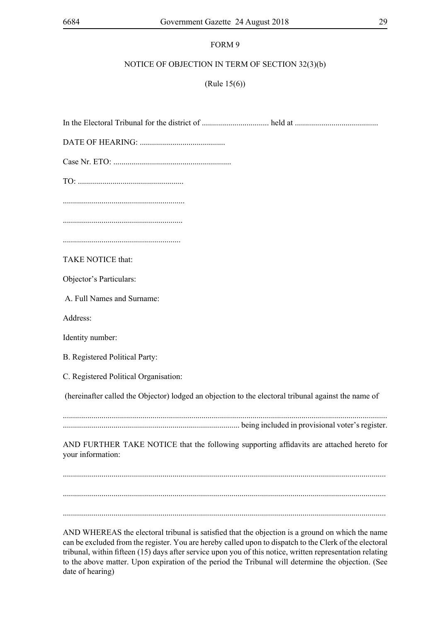### NOTICE OF OBJECTION IN TERM OF SECTION 32(3)(b)

(Rule 15(6))

In the Electoral Tribunal for the district of ................................. held at .........................................

DATE OF HEARING: ..........................................

Case Nr. ETO: ..........................................................

TO: ....................................................

............................................................

...........................................................

..........................................................

TAKE NOTICE that:

Objector's Particulars:

A. Full Names and Surname:

Address:

Identity number:

B. Registered Political Party:

C. Registered Political Organisation:

(hereinafter called the Objector) lodged an objection to the electoral tribunal against the name of

............................................................................................................................................................... ....................................................................................... being included in provisional voter's register.

AND FURTHER TAKE NOTICE that the following supporting affidavits are attached hereto for your information:

............................................................................................................................................................... ...............................................................................................................................................................

AND WHEREAS the electoral tribunal is satisfied that the objection is a ground on which the name can be excluded from the register. You are hereby called upon to dispatch to the Clerk of the electoral tribunal, within fifteen (15) days after service upon you of this notice, written representation relating to the above matter. Upon expiration of the period the Tribunal will determine the objection. (See date of hearing)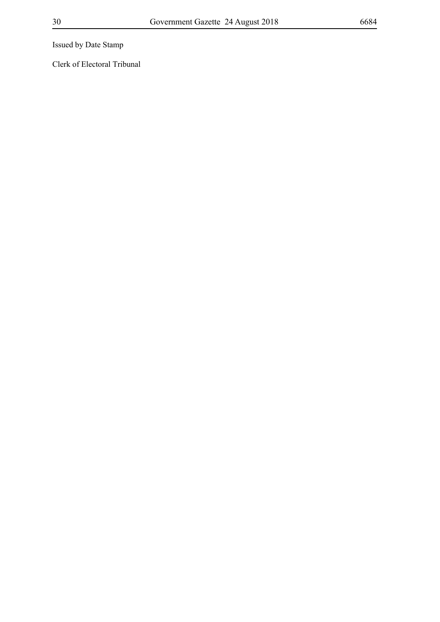Issued by Date Stamp

Clerk of Electoral Tribunal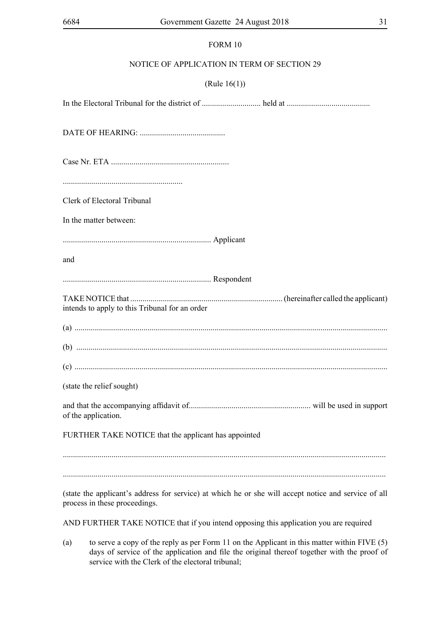### NOTICE OF APPLICATION IN TERM OF SECTION 29

### (Rule 16(1))

In the Electoral Tribunal for the district of ............................. held at ......................................... DATE OF HEARING: .......................................... Case Nr. ETA .......................................................... ........................................................... Clerk of Electoral Tribunal In the matter between: ......................................................................... Applicant and ......................................................................... Respondent TAKE NOTICE that ........................................................................... (hereinafter called the applicant) intends to apply to this Tribunal for an order (a) .......................................................................................................................................................... (b) ......................................................................................................................................................... (c) .......................................................................................................................................................... (state the relief sought) and that the accompanying affidavit of............................................................ will be used in support of the application. FURTHER TAKE NOTICE that the applicant has appointed (state the applicant's address for service) at which he or she will accept notice and service of all process in these proceedings.

AND FURTHER TAKE NOTICE that if you intend opposing this application you are required

(a) to serve a copy of the reply as per Form 11 on the Applicant in this matter within FIVE (5) days of service of the application and file the original thereof together with the proof of service with the Clerk of the electoral tribunal;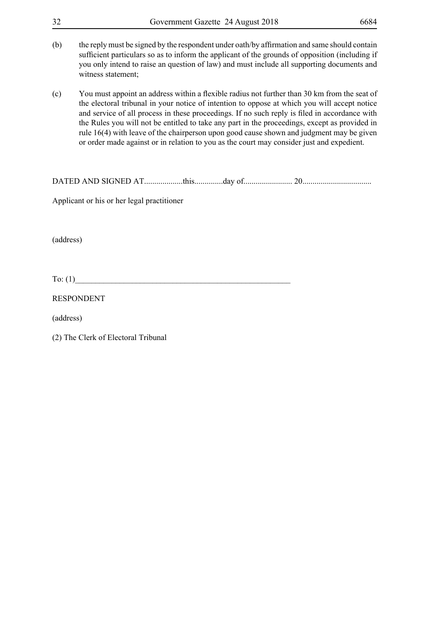| 32        | Government Gazette 24 August 2018<br>6684                                                                                                                                                                                                                                                                                                                                                                                                                                                                                                                                               |
|-----------|-----------------------------------------------------------------------------------------------------------------------------------------------------------------------------------------------------------------------------------------------------------------------------------------------------------------------------------------------------------------------------------------------------------------------------------------------------------------------------------------------------------------------------------------------------------------------------------------|
| (b)       | the reply must be signed by the respondent under oath/by affirmation and same should contain<br>sufficient particulars so as to inform the applicant of the grounds of opposition (including if<br>you only intend to raise an question of law) and must include all supporting documents and<br>witness statement;                                                                                                                                                                                                                                                                     |
| (c)       | You must appoint an address within a flexible radius not further than 30 km from the seat of<br>the electoral tribunal in your notice of intention to oppose at which you will accept notice<br>and service of all process in these proceedings. If no such reply is filed in accordance with<br>the Rules you will not be entitled to take any part in the proceedings, except as provided in<br>rule 16(4) with leave of the chairperson upon good cause shown and judgment may be given<br>or order made against or in relation to you as the court may consider just and expedient. |
|           |                                                                                                                                                                                                                                                                                                                                                                                                                                                                                                                                                                                         |
|           | Applicant or his or her legal practitioner                                                                                                                                                                                                                                                                                                                                                                                                                                                                                                                                              |
| (address) |                                                                                                                                                                                                                                                                                                                                                                                                                                                                                                                                                                                         |

 $To: (1)$ 

RESPONDENT

(address)

(2) The Clerk of Electoral Tribunal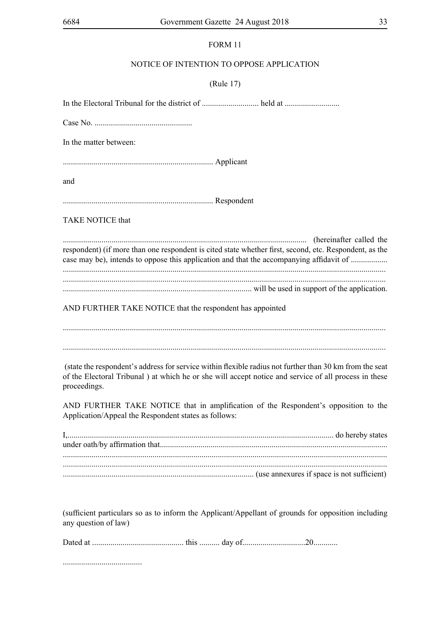### NOTICE OF INTENTION TO OPPOSE APPLICATION

#### (Rule 17)

In the Electoral Tribunal for the district of ............................ held at ........................... Case No. ................................................ In the matter between: .......................................................................... Applicant and .......................................................................... Respondent TAKE NOTICE that ........................................................................................................................ (hereinafter called the respondent) (if more than one respondent is cited state whether first, second, etc. Respondent, as the case may be), intends to oppose this application and that the accompanying affidavit of ...................... ............................................................................................................................................................... ............................................................................................................................................................... ............................................................................................. will be used in support of the application. AND FURTHER TAKE NOTICE that the respondent has appointed ............................................................................................................................................................... ............................................................................................................................................................... (state the respondent's address for service within flexible radius not further than 30 km from the seat of the Electoral Tribunal ) at which he or she will accept notice and service of all process in these proceedings. AND FURTHER TAKE NOTICE that in amplification of the Respondent's opposition to the Application/Appeal the Respondent states as follows:

| (use annexures if space is not sufficient) |  |
|--------------------------------------------|--|

(sufficient particulars so as to inform the Applicant/Appellant of grounds for opposition including any question of law)

|--|--|--|--|

.......................................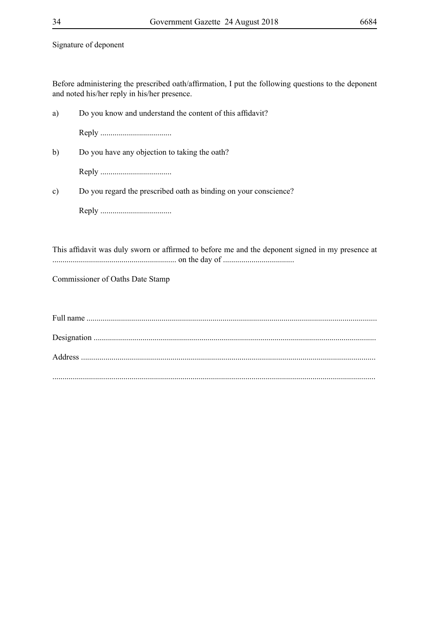Signature of deponent

Before administering the prescribed oath/affirmation, I put the following questions to the deponent and noted his/her reply in his/her presence.

| a)            | Do you know and understand the content of this affidavit?                                        |
|---------------|--------------------------------------------------------------------------------------------------|
|               |                                                                                                  |
| b)            | Do you have any objection to taking the oath?                                                    |
|               |                                                                                                  |
| $\mathbf{c})$ | Do you regard the prescribed oath as binding on your conscience?                                 |
|               |                                                                                                  |
|               |                                                                                                  |
|               | This affidavit was duly sworn or affirmed to before me and the deponent signed in my presence at |
|               | Commissioner of Oaths Date Stamp                                                                 |
|               |                                                                                                  |
|               |                                                                                                  |
|               |                                                                                                  |
|               |                                                                                                  |
|               |                                                                                                  |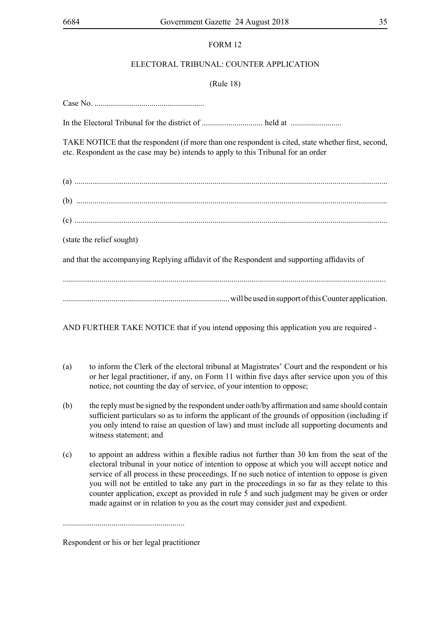### ELECTORAL TRIBUNAL: COUNTER APPLICATION

### (Rule 18)

Case No.

In the Electoral Tribunal for the district of .............................. held at .........................

TAKE NOTICE that the respondent (if more than one respondent is cited, state whether first, second, etc. Respondent as the case may be) intends to apply to this Tribunal for an order

| (state the relief sought)                                                                   |
|---------------------------------------------------------------------------------------------|
| and that the accompanying Replying affidavit of the Respondent and supporting affidavits of |
|                                                                                             |
| will be used in support of this Counter application.                                        |

AND FURTHER TAKE NOTICE that if you intend opposing this application you are required -

- (a) to inform the Clerk of the electoral tribunal at Magistrates' Court and the respondent or his or her legal practitioner, if any, on Form 11 within five days after service upon you of this notice, not counting the day of service, of your intention to oppose;
- (b) the reply must be signed by the respondent under oath/by affirmation and same should contain sufficient particulars so as to inform the applicant of the grounds of opposition (including if you only intend to raise an question of law) and must include all supporting documents and witness statement; and
- (c) to appoint an address within a flexible radius not further than 30 km from the seat of the electoral tribunal in your notice of intention to oppose at which you will accept notice and service of all process in these proceedings. If no such notice of intention to oppose is given you will not be entitled to take any part in the proceedings in so far as they relate to this counter application, except as provided in rule 5 and such judgment may be given or order made against or in relation to you as the court may consider just and expedient.

Respondent or his or her legal practitioner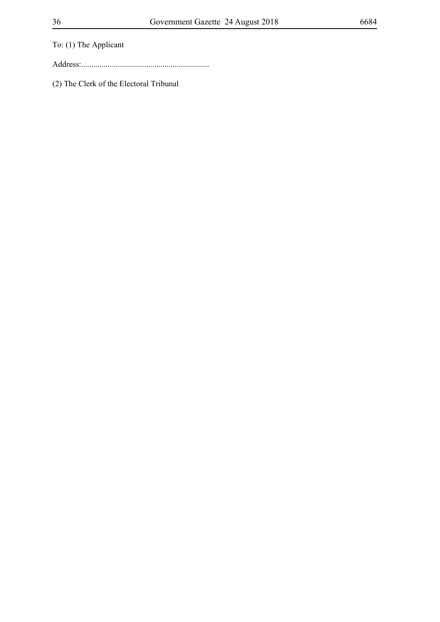To: (1) The Applicant

Address:...............................................................

(2) The Clerk of the Electoral Tribunal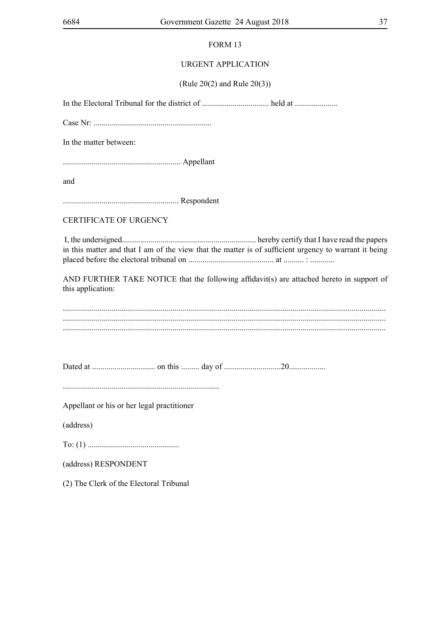### URGENT APPLICATION

### (Rule 20(2) and Rule 20(3))

In the Electoral Tribunal for the district of ................................. held at .....................

Case Nr: ..........................................................

In the matter between:

.......................................................... Appellant

and

......................................................... Respondent

CERTIFICATE OF URGENCY

 I, the undersigned.................................................................. hereby certify that I have read the papers in this matter and that I am of the view that the matter is of sufficient urgency to warrant it being placed before the electoral tribunal on .......................................... at .......... : ............

AND FURTHER TAKE NOTICE that the following affidavit(s) are attached hereto in support of this application:

............................................................................................................................................................... ............................................................................................................................................................... ...............................................................................................................................................................

Dated at ............................... on this ......... day of ............................20..................

.............................................................................

Appellant or his or her legal practitioner

(address)

To: (1) .............................................

(address) RESPONDENT

(2) The Clerk of the Electoral Tribunal